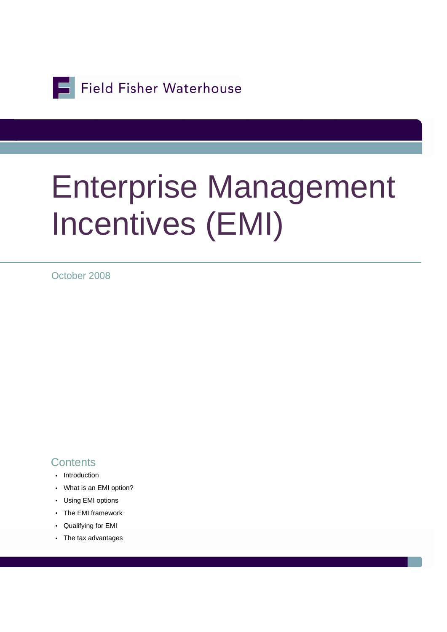Field Fisher Waterhouse

# Enterprise Management Incentives (EMI)

October 2008

#### **Contents**

- Introduction
- What is an EMI option?
- Using EMI options
- The EMI framework
- Qualifying for EMI
- The tax advantages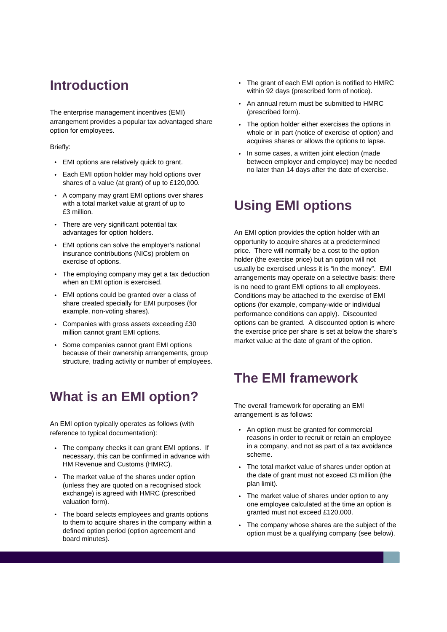## **Introduction**

The enterprise management incentives (EMI) arrangement provides a popular tax advantaged share option for employees.

#### Briefly:

- EMI options are relatively quick to grant.
- Each EMI option holder may hold options over shares of a value (at grant) of up to £120,000.
- A company may grant EMI options over shares with a total market value at grant of up to £3 million.
- There are very significant potential tax advantages for option holders.
- EMI options can solve the employer's national insurance contributions (NICs) problem on exercise of options.
- The employing company may get a tax deduction when an EMI option is exercised.
- EMI options could be granted over a class of share created specially for EMI purposes (for example, non-voting shares).
- Companies with gross assets exceeding £30 million cannot grant EMI options.
- Some companies cannot grant EMI options because of their ownership arrangements, group structure, trading activity or number of employees.

## **What is an EMI option?**

An EMI option typically operates as follows (with reference to typical documentation):

- The company checks it can grant EMI options. If necessary, this can be confirmed in advance with HM Revenue and Customs (HMRC).
- The market value of the shares under option (unless they are quoted on a recognised stock exchange) is agreed with HMRC (prescribed valuation form).
- The board selects employees and grants options to them to acquire shares in the company within a defined option period (option agreement and board minutes).
- The grant of each EMI option is notified to HMRC within 92 days (prescribed form of notice).
- An annual return must be submitted to HMRC (prescribed form).
- The option holder either exercises the options in whole or in part (notice of exercise of option) and acquires shares or allows the options to lapse.
- In some cases, a written joint election (made between employer and employee) may be needed no later than 14 days after the date of exercise.

## **Using EMI options**

An EMI option provides the option holder with an opportunity to acquire shares at a predetermined price. There will normally be a cost to the option holder (the exercise price) but an option will not usually be exercised unless it is "in the money". EMI arrangements may operate on a selective basis: there is no need to grant EMI options to all employees. Conditions may be attached to the exercise of EMI options (for example, company-wide or individual performance conditions can apply). Discounted options can be granted. A discounted option is where the exercise price per share is set at below the share's market value at the date of grant of the option.

## **The EMI framework**

The overall framework for operating an EMI arrangement is as follows:

- An option must be granted for commercial reasons in order to recruit or retain an employee in a company, and not as part of a tax avoidance scheme.
- The total market value of shares under option at the date of grant must not exceed £3 million (the plan limit).
- The market value of shares under option to any one employee calculated at the time an option is granted must not exceed £120,000.
- The company whose shares are the subject of the option must be a qualifying company (see below).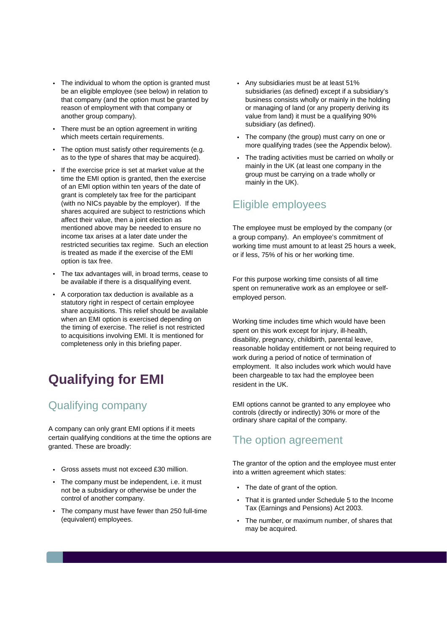- The individual to whom the option is granted must be an eligible employee (see below) in relation to that company (and the option must be granted by reason of employment with that company or another group company).
- There must be an option agreement in writing which meets certain requirements.
- The option must satisfy other requirements (e.g. as to the type of shares that may be acquired).
- If the exercise price is set at market value at the time the EMI option is granted, then the exercise of an EMI option within ten years of the date of grant is completely tax free for the participant (with no NICs payable by the employer). If the shares acquired are subject to restrictions which affect their value, then a joint election as mentioned above may be needed to ensure no income tax arises at a later date under the restricted securities tax regime. Such an election is treated as made if the exercise of the EMI option is tax free.
- The tax advantages will, in broad terms, cease to be available if there is a disqualifying event.
- A corporation tax deduction is available as a statutory right in respect of certain employee share acquisitions. This relief should be available when an EMI option is exercised depending on the timing of exercise. The relief is not restricted to acquisitions involving EMI. It is mentioned for completeness only in this briefing paper.

## **Qualifying for EMI**

#### Qualifying company

A company can only grant EMI options if it meets certain qualifying conditions at the time the options are granted. These are broadly:

- Gross assets must not exceed £30 million.
- The company must be independent, i.e. it must not be a subsidiary or otherwise be under the control of another company.
- The company must have fewer than 250 full-time (equivalent) employees.
- Any subsidiaries must be at least 51% subsidiaries (as defined) except if a subsidiary's business consists wholly or mainly in the holding or managing of land (or any property deriving its value from land) it must be a qualifying 90% subsidiary (as defined).
- The company (the group) must carry on one or more qualifying trades (see the Appendix below).
- The trading activities must be carried on wholly or mainly in the UK (at least one company in the group must be carrying on a trade wholly or mainly in the UK).

#### Eligible employees

The employee must be employed by the company (or a group company). An employee's commitment of working time must amount to at least 25 hours a week, or if less, 75% of his or her working time.

For this purpose working time consists of all time spent on remunerative work as an employee or selfemployed person.

Working time includes time which would have been spent on this work except for injury, ill-health, disability, pregnancy, childbirth, parental leave, reasonable holiday entitlement or not being required to work during a period of notice of termination of employment. It also includes work which would have been chargeable to tax had the employee been resident in the UK.

EMI options cannot be granted to any employee who controls (directly or indirectly) 30% or more of the ordinary share capital of the company.

#### The option agreement

The grantor of the option and the employee must enter into a written agreement which states:

- The date of grant of the option.
- That it is granted under Schedule 5 to the Income Tax (Earnings and Pensions) Act 2003.
- The number, or maximum number, of shares that may be acquired.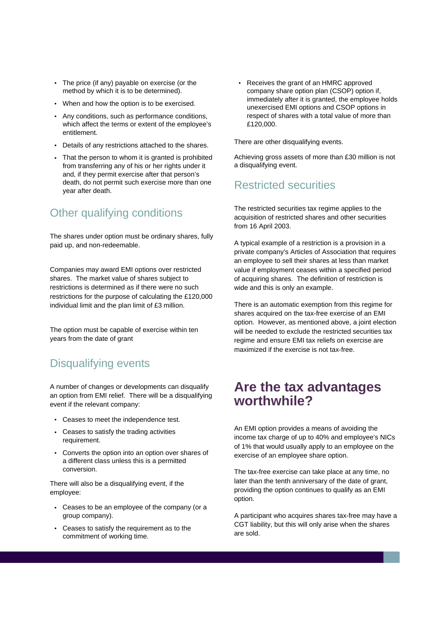- The price (if any) payable on exercise (or the method by which it is to be determined).
- When and how the option is to be exercised.
- Any conditions, such as performance conditions, which affect the terms or extent of the employee's entitlement.
- Details of any restrictions attached to the shares.
- That the person to whom it is granted is prohibited from transferring any of his or her rights under it and, if they permit exercise after that person's death, do not permit such exercise more than one year after death.

#### Other qualifying conditions

The shares under option must be ordinary shares, fully paid up, and non-redeemable.

Companies may award EMI options over restricted shares. The market value of shares subject to restrictions is determined as if there were no such restrictions for the purpose of calculating the £120,000 individual limit and the plan limit of £3 million.

The option must be capable of exercise within ten years from the date of grant

#### Disqualifying events

A number of changes or developments can disqualify an option from EMI relief. There will be a disqualifying event if the relevant company:

- Ceases to meet the independence test.
- Ceases to satisfy the trading activities requirement.
- Converts the option into an option over shares of a different class unless this is a permitted conversion.

There will also be a disqualifying event, if the employee:

- Ceases to be an employee of the company (or a group company).
- Ceases to satisfy the requirement as to the commitment of working time.

• Receives the grant of an HMRC approved company share option plan (CSOP) option if, immediately after it is granted, the employee holds unexercised EMI options and CSOP options in respect of shares with a total value of more than £120,000.

There are other disqualifying events.

Achieving gross assets of more than £30 million is not a disqualifying event.

#### Restricted securities

The restricted securities tax regime applies to the acquisition of restricted shares and other securities from 16 April 2003.

A typical example of a restriction is a provision in a private company's Articles of Association that requires an employee to sell their shares at less than market value if employment ceases within a specified period of acquiring shares. The definition of restriction is wide and this is only an example.

There is an automatic exemption from this regime for shares acquired on the tax-free exercise of an EMI option. However, as mentioned above, a joint election will be needed to exclude the restricted securities tax regime and ensure EMI tax reliefs on exercise are maximized if the exercise is not tax-free.

#### **Are the tax advantages worthwhile?**

An EMI option provides a means of avoiding the income tax charge of up to 40% and employee's NICs of 1% that would usually apply to an employee on the exercise of an employee share option.

The tax-free exercise can take place at any time, no later than the tenth anniversary of the date of grant, providing the option continues to qualify as an EMI option.

A participant who acquires shares tax-free may have a CGT liability, but this will only arise when the shares are sold.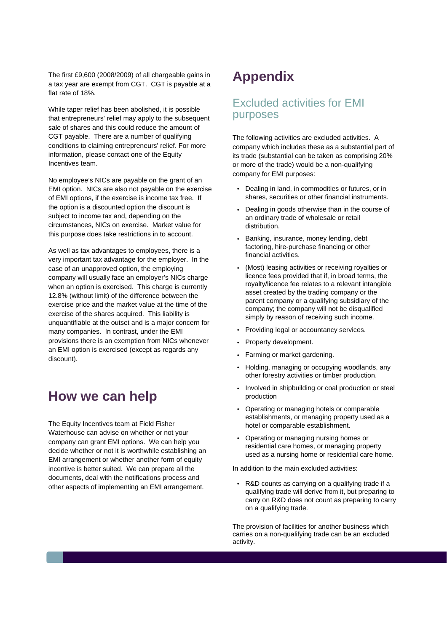The first £9,600 (2008/2009) of all chargeable gains in a tax year are exempt from CGT. CGT is payable at a flat rate of 18%.

While taper relief has been abolished, it is possible that entrepreneurs' relief may apply to the subsequent sale of shares and this could reduce the amount of CGT payable. There are a number of qualifying conditions to claiming entrepreneurs' relief. For more information, please contact one of the Equity Incentives team.

No employee's NICs are payable on the grant of an EMI option. NICs are also not payable on the exercise of EMI options, if the exercise is income tax free. If the option is a discounted option the discount is subject to income tax and, depending on the circumstances, NICs on exercise. Market value for this purpose does take restrictions in to account.

As well as tax advantages to employees, there is a very important tax advantage for the employer. In the case of an unapproved option, the employing company will usually face an employer's NICs charge when an option is exercised. This charge is currently 12.8% (without limit) of the difference between the exercise price and the market value at the time of the exercise of the shares acquired. This liability is unquantifiable at the outset and is a major concern for many companies. In contrast, under the EMI provisions there is an exemption from NICs whenever an EMI option is exercised (except as regards any discount).

### **How we can help**

The Equity Incentives team at Field Fisher Waterhouse can advise on whether or not your company can grant EMI options. We can help you decide whether or not it is worthwhile establishing an EMI arrangement or whether another form of equity incentive is better suited. We can prepare all the documents, deal with the notifications process and other aspects of implementing an EMI arrangement.

## **Appendix**

#### Excluded activities for EMI purposes

The following activities are excluded activities. A company which includes these as a substantial part of its trade (substantial can be taken as comprising 20% or more of the trade) would be a non-qualifying company for EMI purposes:

- Dealing in land, in commodities or futures, or in shares, securities or other financial instruments.
- Dealing in goods otherwise than in the course of an ordinary trade of wholesale or retail distribution.
- Banking, insurance, money lending, debt factoring, hire-purchase financing or other financial activities.
- (Most) leasing activities or receiving royalties or licence fees provided that if, in broad terms, the royalty/licence fee relates to a relevant intangible asset created by the trading company or the parent company or a qualifying subsidiary of the company; the company will not be disqualified simply by reason of receiving such income.
- Providing legal or accountancy services.
- Property development.
- Farming or market gardening.
- Holding, managing or occupying woodlands, any other forestry activities or timber production.
- Involved in shipbuilding or coal production or steel production
- Operating or managing hotels or comparable establishments, or managing property used as a hotel or comparable establishment.
- Operating or managing nursing homes or residential care homes, or managing property used as a nursing home or residential care home.

In addition to the main excluded activities:

• R&D counts as carrying on a qualifying trade if a qualifying trade will derive from it, but preparing to carry on R&D does not count as preparing to carry on a qualifying trade.

The provision of facilities for another business which carries on a non-qualifying trade can be an excluded activity.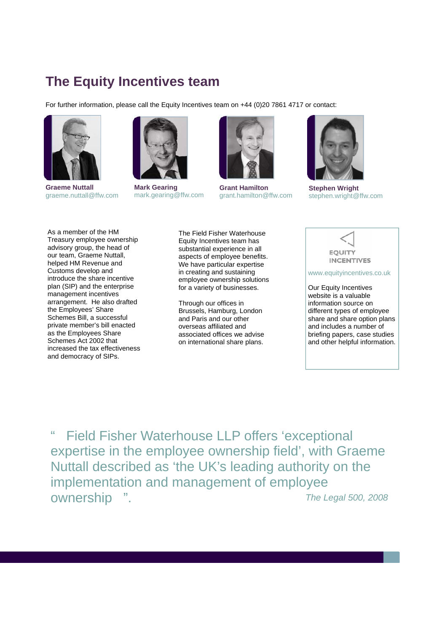## **The Equity Incentives team**

For further information, please call the Equity Incentives team on +44 (0)20 7861 4717 or contact:



**Graeme Nuttall**  graeme.nuttall@ffw.com



**Mark Gearing**  mark.gearing@ffw.com



**Grant Hamilton**  grant.hamilton@ffw.com



**Stephen Wright**  stephen.wright@ffw.com

As a member of the HM Treasury employee ownership advisory group, the head of our team, Graeme Nuttall, helped HM Revenue and Customs develop and introduce the share incentive plan (SIP) and the enterprise management incentives arrangement. He also drafted the Employees' Share Schemes Bill, a successful private member's bill enacted as the Employees Share Schemes Act 2002 that increased the tax effectiveness and democracy of SIPs.

The Field Fisher Waterhouse Equity Incentives team has substantial experience in all aspects of employee benefits. We have particular expertise in creating and sustaining employee ownership solutions for a variety of businesses.

Through our offices in Brussels, Hamburg, London and Paris and our other overseas affiliated and associated offices we advise on international share plans.



www.equityincentives.co.uk

Our Equity Incentives website is a valuable information source on different types of employee share and share option plans and includes a number of briefing papers, case studies and other helpful information.

" Field Fisher Waterhouse LLP offers 'exceptional expertise in the employee ownership field', with Graeme Nuttall described as 'the UK's leading authority on the implementation and management of employee ownership ". *The Legal 500, 2008*